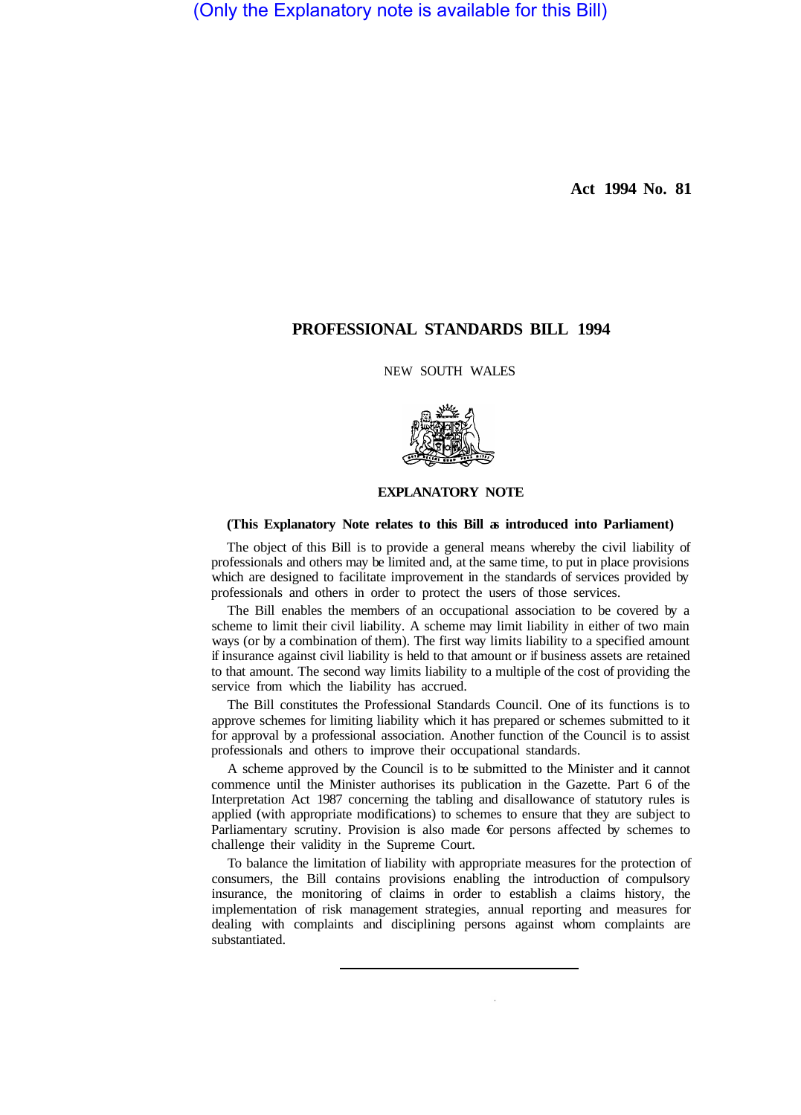(Only the Explanatory note is available for this Bill)

**Act 1994 No. 81** 

# **PROFESSIONAL STANDARDS BILL 1994**

NEW SOUTH WALES



#### **EXPLANATORY NOTE**

#### **(This Explanatory Note relates to this Bill as introduced into Parliament)**

The object of this Bill is to provide a general means whereby the civil liability of professionals and others may be limited and, at the same time, to put in place provisions which are designed to facilitate improvement in the standards of services provided by professionals and others in order to protect the users of those services.

The Bill enables the members of an occupational association to be covered by a scheme to limit their civil liability. A scheme may limit liability in either of two main ways (or by a combination of them). The first way limits liability to a specified amount if insurance against civil liability is held to that amount or if business assets are retained to that amount. The second way limits liability to a multiple of the cost of providing the service from which the liability has accrued.

The Bill constitutes the Professional Standards Council. One of its functions is to approve schemes for limiting liability which it has prepared or schemes submitted to it for approval by a professional association. Another function of the Council is to assist professionals and others to improve their occupational standards.

A scheme approved by the Council is to be submitted to the Minister and it cannot commence until the Minister authorises its publication in the Gazette. Part 6 of the Interpretation Act 1987 concerning the tabling and disallowance of statutory rules is applied (with appropriate modifications) to schemes to ensure that they are subject to Parliamentary scrutiny. Provision is also made €or persons affected by schemes to challenge their validity in the Supreme Court.

To balance the limitation of liability with appropriate measures for the protection of consumers, the Bill contains provisions enabling the introduction of compulsory insurance, the monitoring of claims in order to establish a claims history, the implementation of risk management strategies, annual reporting and measures for dealing with complaints and disciplining persons against whom complaints are substantiated.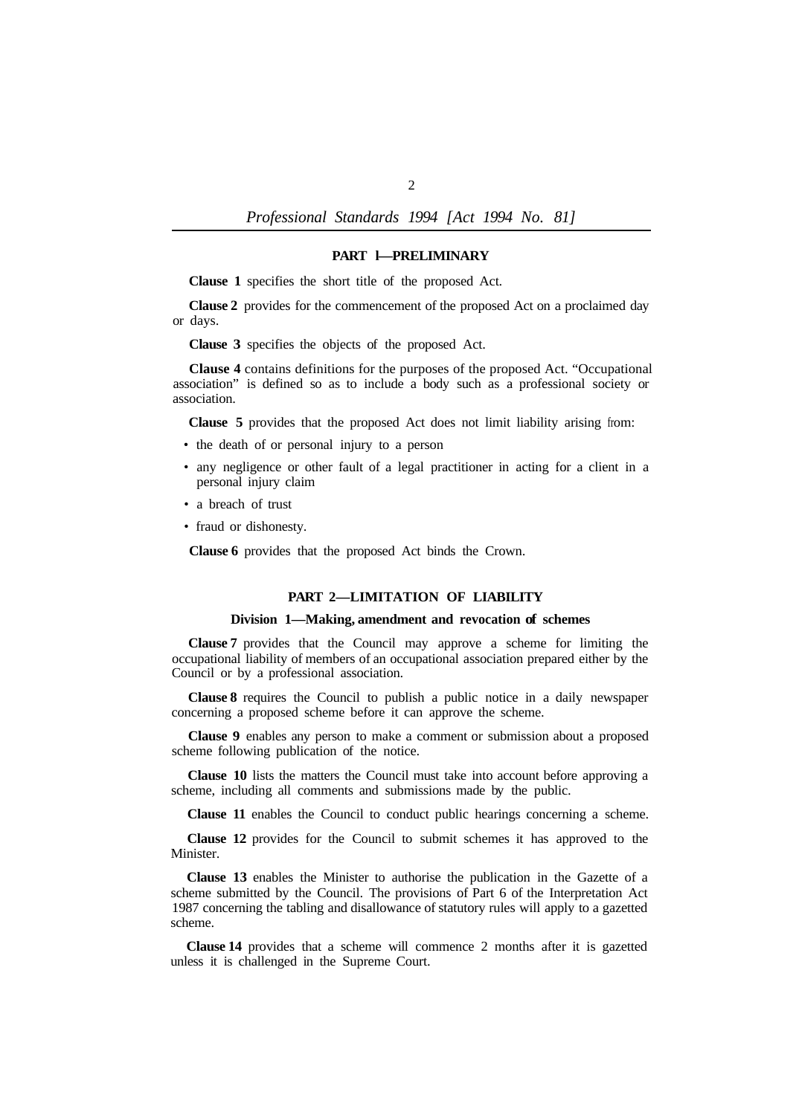### **PART l—PRELIMINARY**

**Clause 1** specifies the short title of the proposed Act.

**Clause 2** provides for the commencement of the proposed Act on a proclaimed day or days.

**Clause 3** specifies the objects of the proposed Act.

**Clause 4** contains definitions for the purposes of the proposed Act. "Occupational association" is defined so as to include a body such as a professional society or association.

**Clause 5** provides that the proposed Act does not limit liability arising from:

- the death of or personal injury to a person
- any negligence or other fault of a legal practitioner in acting for a client in a personal injury claim
- a breach of trust
- fraud or dishonesty.

**Clause 6** provides that the proposed Act binds the Crown.

# **PART 2—LIMITATION OF LIABILITY**

#### **Division 1—Making, amendment and revocation of schemes**

**Clause 7** provides that the Council may approve a scheme for limiting the occupational liability of members of an occupational association prepared either by the Council or by a professional association.

**Clause 8** requires the Council to publish a public notice in a daily newspaper concerning a proposed scheme before it can approve the scheme.

**Clause 9** enables any person to make a comment or submission about a proposed scheme following publication of the notice.

**Clause 10** lists the matters the Council must take into account before approving a scheme, including all comments and submissions made by the public.

**Clause 11** enables the Council to conduct public hearings concerning a scheme.

**Clause 12** provides for the Council to submit schemes it has approved to the Minister.

**Clause 13** enables the Minister to authorise the publication in the Gazette of a scheme submitted by the Council. The provisions of Part 6 of the Interpretation Act 1987 concerning the tabling and disallowance of statutory rules will apply to a gazetted scheme.

**Clause 14** provides that a scheme will commence 2 months after it is gazetted unless it is challenged in the Supreme Court.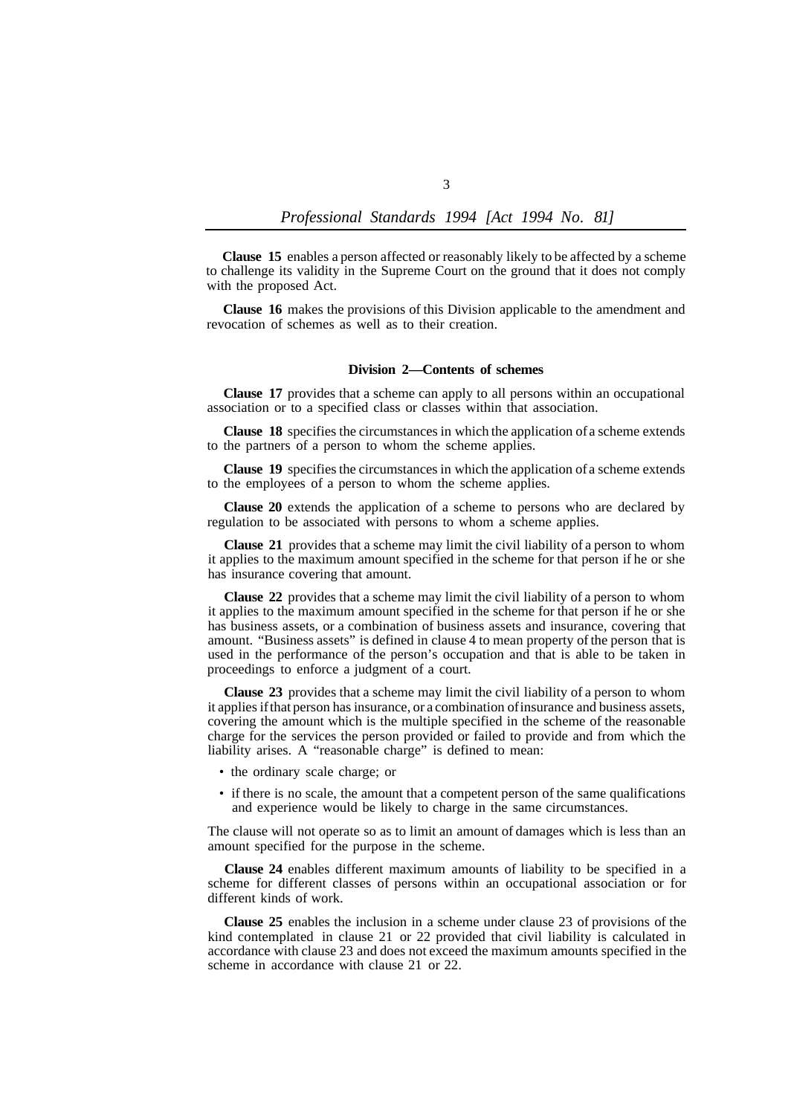**Clause 15** enables a person affected or reasonably likely to be affected by a scheme to challenge its validity in the Supreme Court on the ground that it does not comply with the proposed Act.

**Clause 16** makes the provisions of this Division applicable to the amendment and revocation of schemes as well as to their creation.

#### **Division 2—Contents of schemes**

**Clause 17** provides that a scheme can apply to all persons within an occupational association or to a specified class or classes within that association.

**Clause 18** specifies the circumstances in which the application of a scheme extends to the partners of a person to whom the scheme applies.

**Clause 19** specifies the circumstances in which the application of a scheme extends to the employees of a person to whom the scheme applies.

**Clause 20** extends the application of a scheme to persons who are declared by regulation to be associated with persons to whom a scheme applies.

**Clause 21** provides that a scheme may limit the civil liability of a person to whom it applies to the maximum amount specified in the scheme for that person if he or she has insurance covering that amount.

**Clause 22** provides that a scheme may limit the civil liability of a person to whom it applies to the maximum amount specified in the scheme for that person if he or she has business assets, or a combination of business assets and insurance, covering that amount. "Business assets" is defined in clause 4 to mean property of the person that is used in the performance of the person's occupation and that is able to be taken in proceedings to enforce a judgment of a court.

**Clause 23** provides that a scheme may limit the civil liability of a person to whom it applies if that person has insurance, or a combination of insurance and business assets, covering the amount which is the multiple specified in the scheme of the reasonable charge for the services the person provided or failed to provide and from which the liability arises. A "reasonable charge" is defined to mean:

- the ordinary scale charge; or
- if there is no scale, the amount that a competent person of the same qualifications and experience would be likely to charge in the same circumstances.

The clause will not operate so as to limit an amount of damages which is less than an amount specified for the purpose in the scheme.

**Clause 24** enables different maximum amounts of liability to be specified in a scheme for different classes of persons within an occupational association or for different kinds of work.

**Clause 25** enables the inclusion in a scheme under clause 23 of provisions of the kind contemplated in clause 21 or 22 provided that civil liability is calculated in accordance with clause 23 and does not exceed the maximum amounts specified in the scheme in accordance with clause 21 or 22.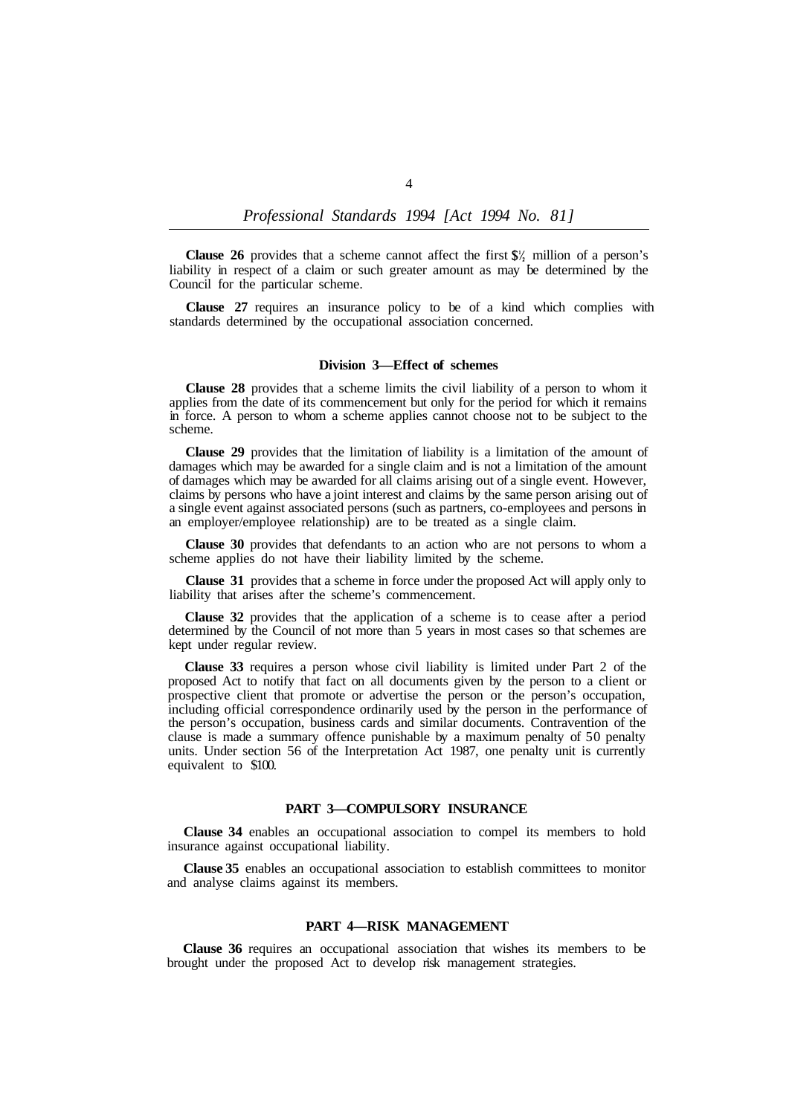**Clause 26** provides that a scheme cannot affect the first  $\frac{\mathcal{S}}{2}$  million of a person's liability in respect of a claim or such greater amount as may be determined by the Council for the particular scheme.

**Clause 27** requires an insurance policy to be of a kind which complies with standards determined by the occupational association concerned.

#### **Division 3—Effect of schemes**

**Clause 28** provides that a scheme limits the civil liability of a person to whom it applies from the date of its commencement but only for the period for which it remains in force. A person to whom a scheme applies cannot choose not to be subject to the scheme.

**Clause 29** provides that the limitation of liability is a limitation of the amount of damages which may be awarded for a single claim and is not a limitation of the amount of damages which may be awarded for all claims arising out of a single event. However, claims by persons who have a joint interest and claims by the same person arising out of a single event against associated persons (such as partners, co-employees and persons in an employer/employee relationship) are to be treated as a single claim.

**Clause 30** provides that defendants to an action who are not persons to whom a scheme applies do not have their liability limited by the scheme.

**Clause 31** provides that a scheme in force under the proposed Act will apply only to liability that arises after the scheme's commencement.

**Clause 32** provides that the application of a scheme is to cease after a period determined by the Council of not more than 5 years in most cases so that schemes are kept under regular review.

**Clause 33** requires a person whose civil liability is limited under Part 2 of the proposed Act to notify that fact on all documents given by the person to a client or prospective client that promote or advertise the person or the person's occupation, including official correspondence ordinarily used by the person in the performance of the person's occupation, business cards and similar documents. Contravention of the clause is made a summary offence punishable by a maximum penalty of 50 penalty units. Under section 56 of the Interpretation Act 1987, one penalty unit is currently equivalent to \$100.

# **PART 3—COMPULSORY INSURANCE**

**Clause 34** enables an occupational association to compel its members to hold insurance against occupational liability.

**Clause 35** enables an occupational association to establish committees to monitor and analyse claims against its members.

#### **PART 4—RISK MANAGEMENT**

**Clause 36** requires an occupational association that wishes its members to be brought under the proposed Act to develop risk management strategies.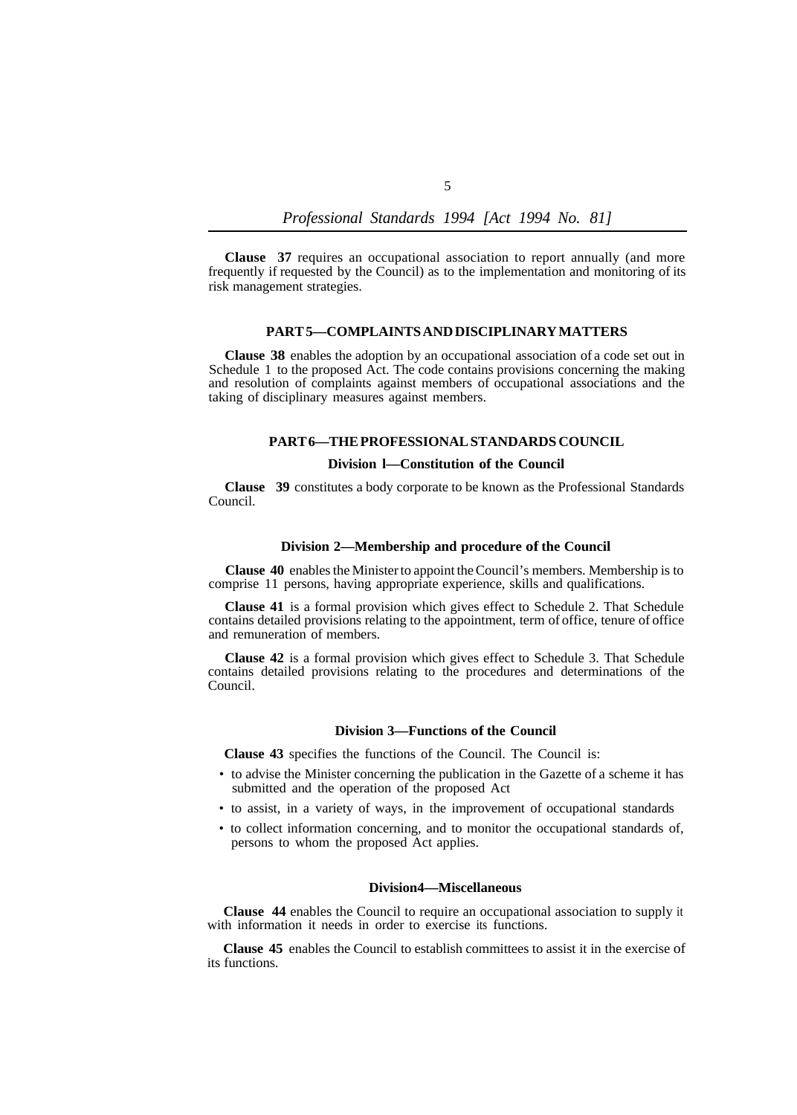**Clause 37** requires an occupational association to report annually (and more frequently if requested by the Council) as to the implementation and monitoring of its risk management strategies.

# **PART 5—COMPLAINTS AND DISCIPLINARY MATTERS**

**Clause 38** enables the adoption by an occupational association of a code set out in Schedule 1 to the proposed Act. The code contains provisions concerning the making and resolution of complaints against members of occupational associations and the taking of disciplinary measures against members.

#### **PART 6—THE PROFESSIONAL STANDARDS COUNCIL**

#### **Division l—Constitution of the Council**

**Clause 39** constitutes a body corporate to be known as the Professional Standards Council.

#### **Division 2—Membership and procedure of the Council**

**Clause 40** enables the Minister to appoint the Council's members. Membership is to comprise 11 persons, having appropriate experience, skills and qualifications.

**Clause 41** is a formal provision which gives effect to Schedule 2. That Schedule contains detailed provisions relating to the appointment, term of office, tenure of office and remuneration of members.

**Clause 42** is a formal provision which gives effect to Schedule 3. That Schedule contains detailed provisions relating to the procedures and determinations of the Council.

## **Division 3—Functions of the Council**

**Clause 43** specifies the functions of the Council. The Council is:

- to advise the Minister concerning the publication in the Gazette of a scheme it has submitted and the operation of the proposed Act
- to assist, in a variety of ways, in the improvement of occupational standards
- to collect information concerning, and to monitor the occupational standards of, persons to whom the proposed Act applies.

#### **Division 4—Miscellaneous**

**Clause 44** enables the Council to require an occupational association to supply it with information it needs in order to exercise its functions.

**Clause 45** enables the Council to establish committees to assist it in the exercise of its functions.